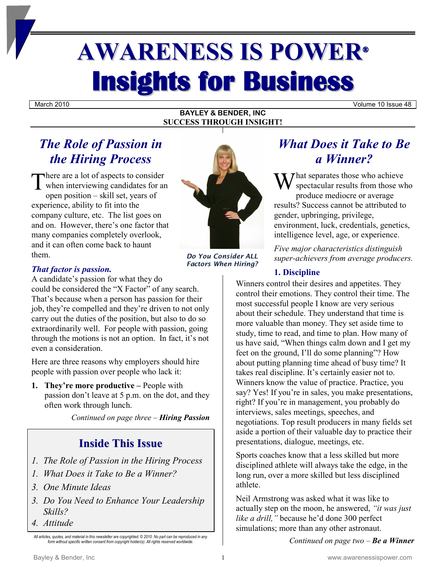# **AWARENESS IS POWER® Insights for Business**

March 2010 Volume 10 Issue 48

#### **BAYLEY & BENDER, INC SUCCESS THROUGH INSIGHT!**

## *The Role of Passion in the Hiring Process*

There are a lot of aspects to consider<br>
when interviewing candidates for an when interviewing candidates for an open position – skill set, years of experience, ability to fit into the company culture, etc. The list goes on and on. However, there's one factor that many companies completely overlook, and it can often come back to haunt them.

*Do You Consider ALL Factors When Hiring?*

#### *That factor is passion.*

A candidate's passion for what they do could be considered the "X Factor" of any search. That's because when a person has passion for their job, they're compelled and they're driven to not only carry out the duties of the position, but also to do so extraordinarily well. For people with passion, going through the motions is not an option. In fact, it's not even a consideration.

Here are three reasons why employers should hire people with passion over people who lack it:

**1. They're more productive –** People with passion don't leave at 5 p.m. on the dot, and they often work through lunch.

*Continued on page three – Hiring Passion*

## **Inside This Issue**

- *1. The Role of Passion in the Hiring Process*
- *1. What Does it Take to Be a Winner?*
- *3. One Minute Ideas*
- *3. Do You Need to Enhance Your Leadership Skills?*
- *4. Attitude*

## *What Does it Take to Be a Winner?*

hat separates those who achieve spectacular results from those who produce mediocre or average results? Success cannot be attributed to gender, upbringing, privilege, environment, luck, credentials, genetics, intelligence level, age, or experience.

*Five major characteristics distinguish super-achievers from average producers.*

#### **1. Discipline**

Winners control their desires and appetites. They control their emotions. They control their time. The most successful people I know are very serious about their schedule. They understand that time is more valuable than money. They set aside time to study, time to read, and time to plan. How many of us have said, "When things calm down and I get my feet on the ground, I'll do some planning"? How about putting planning time ahead of busy time? It takes real discipline. It's certainly easier not to. Winners know the value of practice. Practice, you say? Yes! If you're in sales, you make presentations, right? If you're in management, you probably do interviews, sales meetings, speeches, and negotiations. Top result producers in many fields set aside a portion of their valuable day to practice their presentations, dialogue, meetings, etc.

Sports coaches know that a less skilled but more disciplined athlete will always take the edge, in the long run, over a more skilled but less disciplined athlete.

Neil Armstrong was asked what it was like to actually step on the moon, he answered, *"it was just like a drill,"* because he'd done 300 perfect simulations; more than any other astronaut.

*Continued on page two – Be a Winner*

*All articles, quotes, and material in this newsletter are copyrighted. © 2010. No part can be reproduced in any form without specific written consent from copyright holder(s). All rights reserved worldwide.*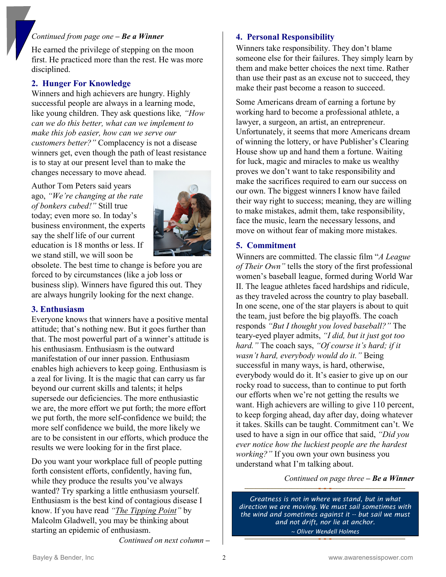#### *Continued from page one – Be a Winner*

He earned the privilege of stepping on the moon first. He practiced more than the rest. He was more disciplined.

#### **2. Hunger For Knowledge**

Winners and high achievers are hungry. Highly successful people are always in a learning mode, like young children. They ask questions like*, "How can we do this better, what can we implement to make this job easier, how can we serve our customers better?"* Complacency is not a disease winners get, even though the path of least resistance is to stay at our present level than to make the changes necessary to move ahead.

Author Tom Peters said years ago, *"We're changing at the rate of bonkers cubed!"* Still true today; even more so. In today's business environment, the experts say the shelf life of our current education is 18 months or less. If we stand still, we will soon be



obsolete. The best time to change is before you are forced to by circumstances (like a job loss or business slip). Winners have figured this out. They are always hungrily looking for the next change.

#### **3. Enthusiasm**

Everyone knows that winners have a positive mental attitude; that's nothing new. But it goes further than that. The most powerful part of a winner's attitude is his enthusiasm. Enthusiasm is the outward manifestation of our inner passion. Enthusiasm enables high achievers to keep going. Enthusiasm is a zeal for living. It is the magic that can carry us far beyond our current skills and talents; it helps supersede our deficiencies. The more enthusiastic we are, the more effort we put forth; the more effort we put forth, the more self-confidence we build; the more self confidence we build, the more likely we are to be consistent in our efforts, which produce the results we were looking for in the first place.

Do you want your workplace full of people putting forth consistent efforts, confidently, having fun, while they produce the results you've always wanted? Try sparking a little enthusiasm yourself. Enthusiasm is the best kind of contagious disease I know. If you have read *"The Tipping Point"* by Malcolm Gladwell, you may be thinking about starting an epidemic of enthusiasm.

*Continued on next column* **–**

#### **4. Personal Responsibility**

Winners take responsibility. They don't blame someone else for their failures. They simply learn by them and make better choices the next time. Rather than use their past as an excuse not to succeed, they make their past become a reason to succeed.

Some Americans dream of earning a fortune by working hard to become a professional athlete, a lawyer, a surgeon, an artist, an entrepreneur. Unfortunately, it seems that more Americans dream of winning the lottery, or have Publisher's Clearing House show up and hand them a fortune. Waiting for luck, magic and miracles to make us wealthy proves we don't want to take responsibility and make the sacrifices required to earn our success on our own. The biggest winners I know have failed their way right to success; meaning, they are willing to make mistakes, admit them, take responsibility, face the music, learn the necessary lessons, and move on without fear of making more mistakes.

#### **5. Commitment**

Winners are committed. The classic film "*A League of Their Own"* tells the story of the first professional women's baseball league, formed during World War II. The league athletes faced hardships and ridicule, as they traveled across the country to play baseball. In one scene, one of the star players is about to quit the team, just before the big playoffs. The coach responds *"But I thought you loved baseball?"* The teary-eyed player admits, *"I did, but it just got too hard."* The coach says, *"Of course it's hard; if it wasn't hard, everybody would do it."* Being successful in many ways, is hard, otherwise, everybody would do it. It's easier to give up on our rocky road to success, than to continue to put forth our efforts when we're not getting the results we want. High achievers are willing to give 110 percent, to keep forging ahead, day after day, doing whatever it takes. Skills can be taught. Commitment can't. We used to have a sign in our office that said, *"Did you ever notice how the luckiest people are the hardest working?"* If you own your own business you understand what I'm talking about.

*Continued on page three* **–** *Be a Winner*

*Greatness is not in where we stand, but in what direction we are moving. We must sail sometimes with the wind and sometimes against it -- but sail we must and not drift, nor lie at anchor. ~ Oliver Wendell Holmes*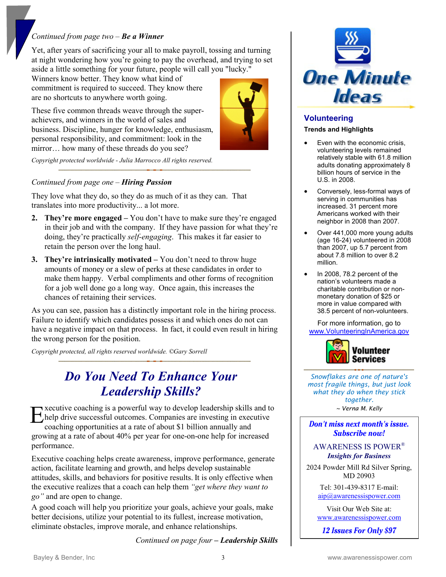#### *Continued from page two – Be a Winner*

Yet, after years of sacrificing your all to make payroll, tossing and turning at night wondering how you're going to pay the overhead, and trying to set aside a little something for your future, people will call you "lucky."

Winners know better. They know what kind of commitment is required to succeed. They know there are no shortcuts to anywhere worth going.

These five common threads weave through the superachievers, and winners in the world of sales and business. Discipline, hunger for knowledge, enthusiasm, personal responsibility, and commitment: look in the mirror… how many of these threads do you see?



*Copyright protected worldwide - Julia Marrocco All rights reserved.* 

#### *Continued from page one – Hiring Passion*

They love what they do, so they do as much of it as they can. That translates into more productivity... a lot more.

- **2. They're more engaged –** You don't have to make sure they're engaged in their job and with the company. If they have passion for what they're doing, they're practically *self-engaging*. This makes it far easier to retain the person over the long haul.
- **3. They're intrinsically motivated –** You don't need to throw huge amounts of money or a slew of perks at these candidates in order to make them happy. Verbal compliments and other forms of recognition for a job well done go a long way. Once again, this increases the chances of retaining their services.

As you can see, passion has a distinctly important role in the hiring process. Failure to identify which candidates possess it and which ones do not can have a negative impact on that process. In fact, it could even result in hiring the wrong person for the position.

*Copyright protected, all rights reserved worldwide. ©Gary Sorrell* 

## *Do You Need To Enhance Your Leadership Skills?*

xecutive coaching is a powerful way to develop leadership skills and to help drive successful outcomes. Companies are investing in executive coaching opportunities at a rate of about \$1 billion annually and growing at a rate of about 40% per year for one-on-one help for increased performance. E

Executive coaching helps create awareness, improve performance, generate action, facilitate learning and growth, and helps develop sustainable attitudes, skills, and behaviors for positive results. It is only effective when the executive realizes that a coach can help them *"get where they want to go"* and are open to change.

A good coach will help you prioritize your goals, achieve your goals, make better decisions, utilize your potential to its fullest, increase motivation, eliminate obstacles, improve morale, and enhance relationships.

*Continued on page four* **–** *Leadership Skills*



#### **Volunteering Trends and Highlights**

- Even with the economic crisis, volunteering levels remained relatively stable with 61.8 million adults donating approximately 8 billion hours of service in the U.S. in 2008.
- Conversely, less-formal ways of serving in communities has increased. 31 percent more Americans worked with their neighbor in 2008 than 2007.
- Over 441,000 more young adults (age 16-24) volunteered in 2008 than 2007, up 5.7 percent from about 7.8 million to over 8.2 million.
- In 2008, 78.2 percent of the nation's volunteers made a charitable contribution or nonmonetary donation of \$25 or more in value compared with 38.5 percent of non-volunteers.

For more information, go to [www.VolunteeringInAmerica.gov](http://www.volunteeringinamerica.gov/)



*Snowflakes are one of nature's most fragile things, but just look what they do when they stick together.*

*~ Verna M. Kelly*

Don't miss next month's issue. Subscribe now!

AWARENESS IS POWER® *Insights for Business*

2024 Powder Mill Rd Silver Spring, MD 20903

> Tel: 301-439-8317 E-mail: [aip@awarenessispower.com](mailto:aip@awarenessispower.com)

Visit Our Web Site at: [www.awarenessispower.com](http://www.awarenessispower.com/)

12 Issues For Only \$97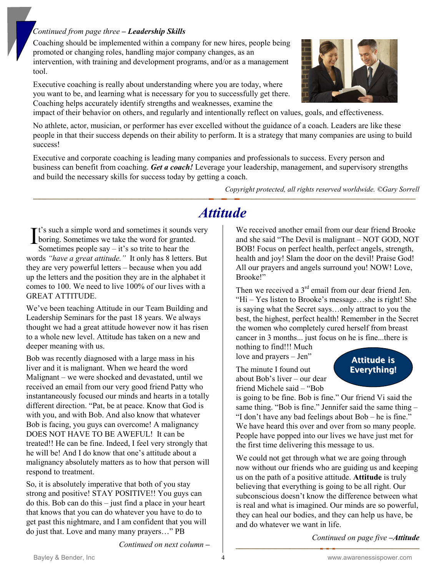#### *Continued from page three* **–** *Leadership Skills*

Coaching should be implemented within a company for new hires, people being promoted or changing roles, handling major company changes, as an intervention, with training and development programs, and/or as a management tool.

Executive coaching is really about understanding where you are today, where you want to be, and learning what is necessary for you to successfully get there. Coaching helps accurately identify strengths and weaknesses, examine the



impact of their behavior on others, and regularly and intentionally reflect on values, goals, and effectiveness.

No athlete, actor, musician, or performer has ever excelled without the guidance of a coach. Leaders are like these people in that their success depends on their ability to perform. It is a strategy that many companies are using to build success!

Executive and corporate coaching is leading many companies and professionals to success. Every person and business can benefit from coaching. *Get a coach!* Leverage your leadership, management, and supervisory strengths and build the necessary skills for success today by getting a coach.

*Copyright protected, all rights reserved worldwide. ©Gary Sorrell* 

## *Attitude*

**r**t's such a simple word and sometimes it sounds very boring. Sometimes we take the word for granted. Sometimes people say  $-$  it's so trite to hear the words *"have a great attitude."* It only has 8 letters. But they are very powerful letters – because when you add up the letters and the position they are in the alphabet it comes to 100. We need to live 100% of our lives with a GREAT ATTITUDE. I

We've been teaching Attitude in our Team Building and Leadership Seminars for the past 18 years. We always thought we had a great attitude however now it has risen to a whole new level. Attitude has taken on a new and deeper meaning with us.

Bob was recently diagnosed with a large mass in his liver and it is malignant. When we heard the word Malignant – we were shocked and devastated, until we received an email from our very good friend Patty who instantaneously focused our minds and hearts in a totally different direction. "Pat, be at peace. Know that God is with you, and with Bob. And also know that whatever Bob is facing, you guys can overcome! A malignancy DOES NOT HAVE TO BE AWEFUL! It can be treated!! He can be fine. Indeed, I feel very strongly that he will be! And I do know that one's attitude about a malignancy absolutely matters as to how that person will respond to treatment.

So, it is absolutely imperative that both of you stay strong and positive! STAY POSITIVE!! You guys can do this. Bob can do this – just find a place in your heart that knows that you can do whatever you have to do to get past this nightmare, and I am confident that you will do just that. Love and many many prayers…" PB

We received another email from our dear friend Brooke and she said "The Devil is malignant – NOT GOD, NOT BOB! Focus on perfect health, perfect angels, strength, health and joy! Slam the door on the devil! Praise God! All our prayers and angels surround you! NOW! Love, Brooke!"

Then we received a  $3<sup>rd</sup>$  email from our dear friend Jen. "Hi – Yes listen to Brooke's message…she is right! She is saying what the Secret says…only attract to you the best, the highest, perfect health! Remember in the Secret the women who completely cured herself from breast cancer in 3 months... just focus on he is fine...there is nothing to find!!! Much

love and prayers – Jen"

The minute I found out about Bob's liver – our dear friend Michele said – "Bob

### Attitude is Everything!

is going to be fine. Bob is fine." Our friend Vi said the same thing. "Bob is fine." Jennifer said the same thing – "I don't have any bad feelings about Bob – he is fine." We have heard this over and over from so many people. People have popped into our lives we have just met for the first time delivering this message to us.

We could not get through what we are going through now without our friends who are guiding us and keeping us on the path of a positive attitude. **Attitude** is truly believing that everything is going to be all right. Our subconscious doesn't know the difference between what is real and what is imagined. Our minds are so powerful, they can heal our bodies, and they can help us have, be and do whatever we want in life.

*Continued on page five* **–***Attitude*

*Continued on next column* **–**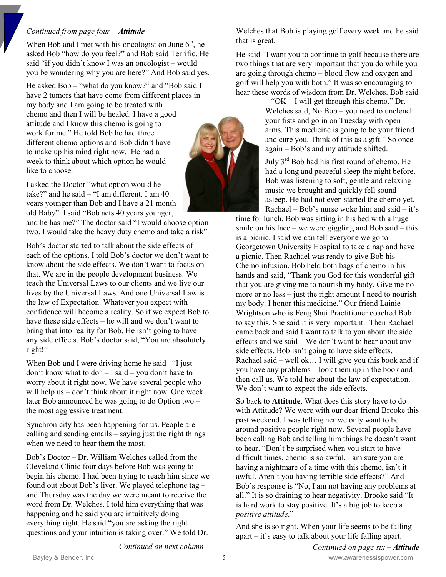#### *Continued from page four* **–** *Attitude*

When Bob and I met with his oncologist on June  $6<sup>th</sup>$ , he asked Bob "how do you feel?" and Bob said Terrific. He said "if you didn't know I was an oncologist – would you be wondering why you are here?" And Bob said yes.

He asked Bob – "what do you know?" and "Bob said I have 2 tumors that have come from different places in my body and I am going to be treated with chemo and then I will be healed. I have a good attitude and I know this chemo is going to work for me." He told Bob he had three different chemo options and Bob didn't have to make up his mind right now. He had a week to think about which option he would like to choose.

I asked the Doctor "what option would he take?" and he said – "I am different. I am 40 years younger than Bob and I have a 21 month old Baby". I said "Bob acts 40 years younger,

and he has me?" The doctor said "I would choose option two. I would take the heavy duty chemo and take a risk".

Bob's doctor started to talk about the side effects of each of the options. I told Bob's doctor we don't want to know about the side effects. We don't want to focus on that. We are in the people development business. We teach the Universal Laws to our clients and we live our lives by the Universal Laws. And one Universal Law is the law of Expectation. Whatever you expect with confidence will become a reality. So if we expect Bob to have these side effects – he will and we don't want to bring that into reality for Bob. He isn't going to have any side effects. Bob's doctor said, "You are absolutely right!"

When Bob and I were driving home he said – "I just don't know what to do" – I said – you don't have to worry about it right now. We have several people who will help us – don't think about it right now. One week later Bob announced he was going to do Option two – the most aggressive treatment.

Synchronicity has been happening for us. People are calling and sending emails – saying just the right things when we need to hear them the most.

Bob's Doctor – Dr. William Welches called from the Cleveland Clinic four days before Bob was going to begin his chemo. I had been trying to reach him since we found out about Bob's liver. We played telephone tag – and Thursday was the day we were meant to receive the word from Dr. Welches. I told him everything that was happening and he said you are intuitively doing everything right. He said "you are asking the right questions and your intuition is taking over." We told Dr.

Welches that Bob is playing golf every week and he said that is great.

He said "I want you to continue to golf because there are two things that are very important that you do while you are going through chemo – blood flow and oxygen and golf will help you with both." It was so encouraging to hear these words of wisdom from Dr. Welches. Bob said

> – "OK – I will get through this chemo." Dr. Welches said, No Bob – you need to unclench your fists and go in on Tuesday with open arms. This medicine is going to be your friend and cure you. Think of this as a gift." So once again – Bob's and my attitude shifted.

July 3rd Bob had his first round of chemo. He had a long and peaceful sleep the night before. Bob was listening to soft, gentle and relaxing music we brought and quickly fell sound asleep. He had not even started the chemo yet. Rachael – Bob's nurse woke him and said – it's

time for lunch. Bob was sitting in his bed with a huge smile on his face – we were giggling and Bob said – this is a picnic. I said we can tell everyone we go to Georgetown University Hospital to take a nap and have a picnic. Then Rachael was ready to give Bob his Chemo infusion. Bob held both bags of chemo in his hands and said, "Thank you God for this wonderful gift that you are giving me to nourish my body. Give me no more or no less – just the right amount I need to nourish my body. I honor this medicine." Our friend Lainie Wrightson who is Feng Shui Practitioner coached Bob to say this. She said it is very important. Then Rachael came back and said I want to talk to you about the side effects and we said – We don't want to hear about any side effects. Bob isn't going to have side effects. Rachael said – well ok… I will give you this book and if you have any problems – look them up in the book and then call us. We told her about the law of expectation. We don't want to expect the side effects.

So back to **Attitude**. What does this story have to do with Attitude? We were with our dear friend Brooke this past weekend. I was telling her we only want to be around positive people right now. Several people have been calling Bob and telling him things he doesn't want to hear. "Don't be surprised when you start to have difficult times, chemo is so awful. I am sure you are having a nightmare of a time with this chemo, isn't it awful. Aren't you having terrible side effects?" And Bob's response is "No, I am not having any problems at all." It is so draining to hear negativity. Brooke said "It is hard work to stay positive. It's a big job to keep a *positive attitude*."

And she is so right. When your life seems to be falling apart – it's easy to talk about your life falling apart.

*Continued on next column* **–**

Bayley & Bender, Inc **Example 20** S and the Second State of Second State of the Second State of Second State of S *Continued on page six* **–** *Attitude*